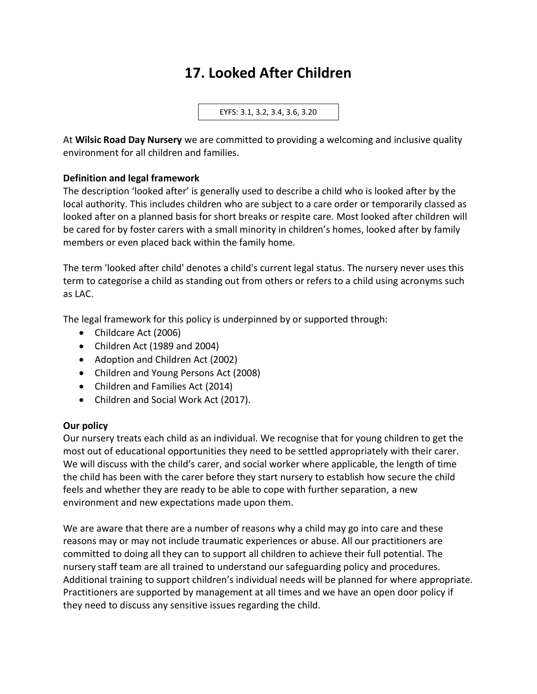# **17. Looked After Children**

EYFS: 3.1, 3.2, 3.4, 3.6, 3.20

At **Wilsic Road Day Nursery** we are committed to providing a welcoming and inclusive quality environment for all children and families.

### **Definition and legal framework**

The description 'looked after' is generally used to describe a child who is looked after by the local authority. This includes children who are subject to a care order or temporarily classed as looked after on a planned basis for short breaks or respite care. Most looked after children will be cared for by foster carers with a small minority in children's homes, looked after by family members or even placed back within the family home.

The term 'looked after child' denotes a child's current legal status. The nursery never uses this term to categorise a child as standing out from others or refers to a child using acronyms such as LAC.

The legal framework for this policy is underpinned by or supported through:

- Childcare Act (2006)
- Children Act (1989 and 2004)
- Adoption and Children Act (2002)
- Children and Young Persons Act (2008)
- Children and Families Act (2014)
- Children and Social Work Act (2017).

### **Our policy**

Our nursery treats each child as an individual. We recognise that for young children to get the most out of educational opportunities they need to be settled appropriately with their carer. We will discuss with the child's carer, and social worker where applicable, the length of time the child has been with the carer before they start nursery to establish how secure the child feels and whether they are ready to be able to cope with further separation, a new environment and new expectations made upon them.

We are aware that there are a number of reasons why a child may go into care and these reasons may or may not include traumatic experiences or abuse. All our practitioners are committed to doing all they can to support all children to achieve their full potential. The nursery staff team are all trained to understand our safeguarding policy and procedures. Additional training to support children's individual needs will be planned for where appropriate. Practitioners are supported by management at all times and we have an open door policy if they need to discuss any sensitive issues regarding the child.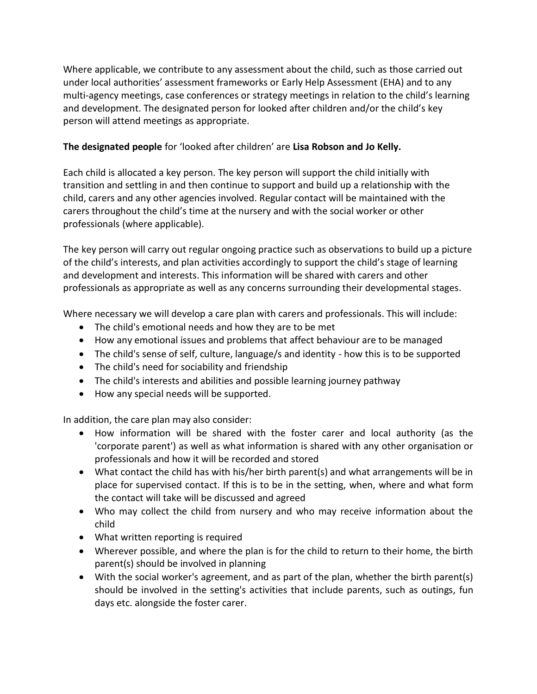Where applicable, we contribute to any assessment about the child, such as those carried out under local authorities' assessment frameworks or Early Help Assessment (EHA) and to any multi-agency meetings, case conferences or strategy meetings in relation to the child's learning and development. The designated person for looked after children and/or the child's key person will attend meetings as appropriate.

# **The designated people** for 'looked after children' are **Lisa Robson and Jo Kelly.**

Each child is allocated a key person. The key person will support the child initially with transition and settling in and then continue to support and build up a relationship with the child, carers and any other agencies involved. Regular contact will be maintained with the carers throughout the child's time at the nursery and with the social worker or other professionals (where applicable).

The key person will carry out regular ongoing practice such as observations to build up a picture of the child's interests, and plan activities accordingly to support the child's stage of learning and development and interests. This information will be shared with carers and other professionals as appropriate as well as any concerns surrounding their developmental stages.

Where necessary we will develop a care plan with carers and professionals. This will include:

- The child's emotional needs and how they are to be met
- How any emotional issues and problems that affect behaviour are to be managed
- The child's sense of self, culture, language/s and identity how this is to be supported
- The child's need for sociability and friendship
- The child's interests and abilities and possible learning journey pathway
- How any special needs will be supported.

In addition, the care plan may also consider:

- How information will be shared with the foster carer and local authority (as the 'corporate parent') as well as what information is shared with any other organisation or professionals and how it will be recorded and stored
- What contact the child has with his/her birth parent(s) and what arrangements will be in place for supervised contact. If this is to be in the setting, when, where and what form the contact will take will be discussed and agreed
- Who may collect the child from nursery and who may receive information about the child
- What written reporting is required
- Wherever possible, and where the plan is for the child to return to their home, the birth parent(s) should be involved in planning
- With the social worker's agreement, and as part of the plan, whether the birth parent(s) should be involved in the setting's activities that include parents, such as outings, fun days etc. alongside the foster carer.